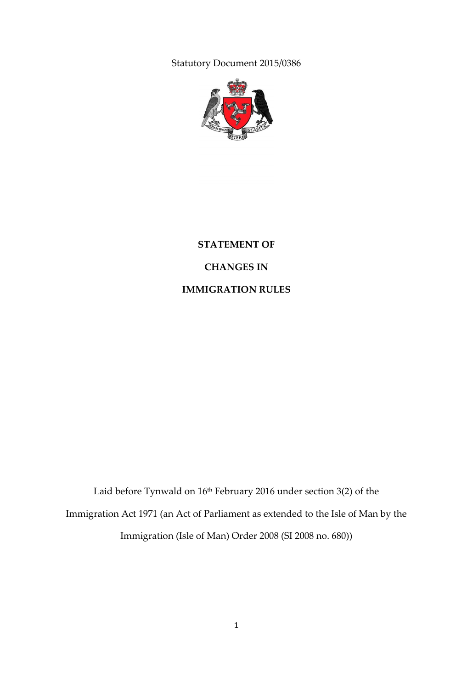Statutory Document 2015/0386



# **STATEMENT OF CHANGES IN IMMIGRATION RULES**

Laid before Tynwald on 16<sup>th</sup> February 2016 under section 3(2) of the Immigration Act 1971 (an Act of Parliament as extended to the Isle of Man by the Immigration (Isle of Man) Order 2008 (SI 2008 no. 680))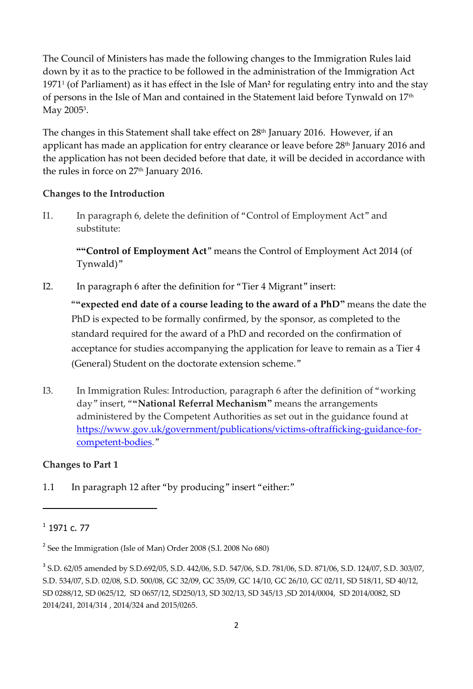The Council of Ministers has made the following changes to the Immigration Rules laid down by it as to the practice to be followed in the administration of the Immigration Act 1971<sup>1</sup> (of Parliament) as it has effect in the Isle of Man**<sup>2</sup>** for regulating entry into and the stay of persons in the Isle of Man and contained in the Statement laid before Tynwald on 17<sup>th</sup> May 2005<sup>3</sup>.

The changes in this Statement shall take effect on 28<sup>th</sup> January 2016. However, if an applicant has made an application for entry clearance or leave before 28<sup>th</sup> January 2016 and the application has not been decided before that date, it will be decided in accordance with the rules in force on 27<sup>th</sup> January 2016.

### **Changes to the Introduction**

I1. In paragraph 6, delete the definition of "Control of Employment Act" and substitute:

**""Control of Employment Act**" means the Control of Employment Act 2014 (of Tynwald)"

I2. In paragraph 6 after the definition for "Tier 4 Migrant" insert:

"**"expected end date of a course leading to the award of a PhD"** means the date the PhD is expected to be formally confirmed, by the sponsor, as completed to the standard required for the award of a PhD and recorded on the confirmation of acceptance for studies accompanying the application for leave to remain as a Tier 4 (General) Student on the doctorate extension scheme."

I3. In Immigration Rules: Introduction, paragraph 6 after the definition of "working day" insert, "**"National Referral Mechanism"** means the arrangements administered by the Competent Authorities as set out in the guidance found at [https://www.gov.uk/government/publications/victims-oftrafficking-guidance-for](https://www.gov.uk/government/publications/victims-of%1ftrafficking-guidance-for-competent-bodies)[competent-bodies](https://www.gov.uk/government/publications/victims-of%1ftrafficking-guidance-for-competent-bodies)."

# **Changes to Part 1**

1.1 In paragraph 12 after "by producing" insert "either:"

 $\overline{a}$ 

 $^1$  1971 c. 77

<sup>&</sup>lt;sup>2</sup> See the Immigration (Isle of Man) Order 2008 (S.I. 2008 No 680)

<sup>3</sup> S.D. 62/05 amended by S.D.692/05, S.D. 442/06, S.D. 547/06, S.D. 781/06, S.D. 871/06, S.D. 124/07, S.D. 303/07, S.D. 534/07, S.D. 02/08, S.D. 500/08, GC 32/09, GC 35/09, GC 14/10, GC 26/10, GC 02/11, SD 518/11, SD 40/12, SD 0288/12, SD 0625/12, SD 0657/12, SD250/13, SD 302/13, SD 345/13 ,SD 2014/0004, SD 2014/0082, SD 2014/241, 2014/314 , 2014/324 and 2015/0265.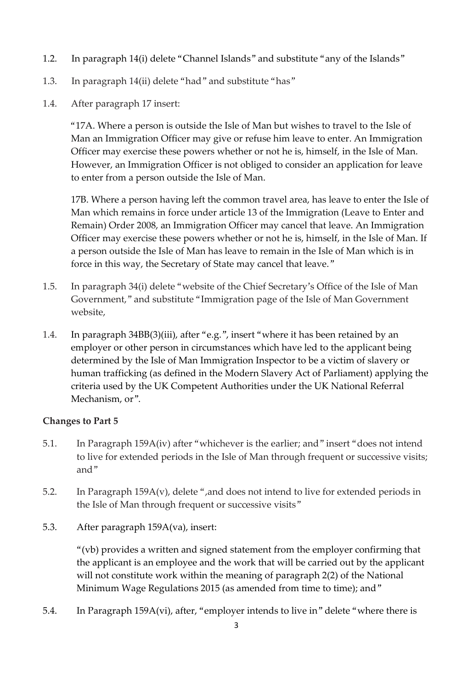- 1.2. In paragraph 14(i) delete "Channel Islands" and substitute "any of the Islands"
- 1.3. In paragraph 14(ii) delete "had" and substitute "has"
- 1.4. After paragraph 17 insert:

"17A. Where a person is outside the Isle of Man but wishes to travel to the Isle of Man an Immigration Officer may give or refuse him leave to enter. An Immigration Officer may exercise these powers whether or not he is, himself, in the Isle of Man. However, an Immigration Officer is not obliged to consider an application for leave to enter from a person outside the Isle of Man.

17B. Where a person having left the common travel area, has leave to enter the Isle of Man which remains in force under article 13 of the Immigration (Leave to Enter and Remain) Order 2008, an Immigration Officer may cancel that leave. An Immigration Officer may exercise these powers whether or not he is, himself, in the Isle of Man. If a person outside the Isle of Man has leave to remain in the Isle of Man which is in force in this way, the Secretary of State may cancel that leave."

- 1.5. In paragraph 34(i) delete "website of the Chief Secretary's Office of the Isle of Man Government," and substitute "Immigration page of the Isle of Man Government website,
- 1.4. In paragraph 34BB(3)(iii), after "e.g.", insert "where it has been retained by an employer or other person in circumstances which have led to the applicant being determined by the Isle of Man Immigration Inspector to be a victim of slavery or human trafficking (as defined in the Modern Slavery Act of Parliament) applying the criteria used by the UK Competent Authorities under the UK National Referral Mechanism, or".

### **Changes to Part 5**

- 5.1. In Paragraph 159A(iv) after "whichever is the earlier; and" insert "does not intend to live for extended periods in the Isle of Man through frequent or successive visits; and"
- 5.2. In Paragraph 159A(v), delete ",and does not intend to live for extended periods in the Isle of Man through frequent or successive visits"
- 5.3. After paragraph 159A(va), insert:

"(vb) provides a written and signed statement from the employer confirming that the applicant is an employee and the work that will be carried out by the applicant will not constitute work within the meaning of paragraph 2(2) of the National Minimum Wage Regulations 2015 (as amended from time to time); and"

5.4. In Paragraph 159A(vi), after, "employer intends to live in" delete "where there is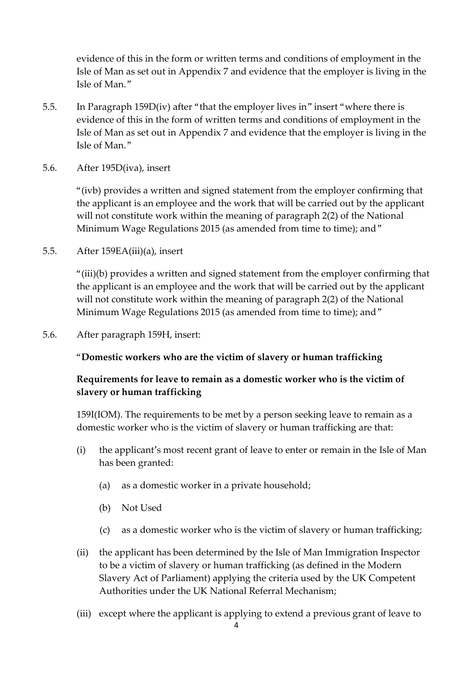evidence of this in the form or written terms and conditions of employment in the Isle of Man as set out in Appendix 7 and evidence that the employer is living in the Isle of Man."

- 5.5. In Paragraph 159D(iv) after "that the employer lives in" insert "where there is evidence of this in the form of written terms and conditions of employment in the Isle of Man as set out in Appendix 7 and evidence that the employer is living in the Isle of Man."
- 5.6. After 195D(iva), insert

"(ivb) provides a written and signed statement from the employer confirming that the applicant is an employee and the work that will be carried out by the applicant will not constitute work within the meaning of paragraph 2(2) of the National Minimum Wage Regulations 2015 (as amended from time to time); and"

5.5. After 159EA(iii)(a), insert

"(iii)(b) provides a written and signed statement from the employer confirming that the applicant is an employee and the work that will be carried out by the applicant will not constitute work within the meaning of paragraph 2(2) of the National Minimum Wage Regulations 2015 (as amended from time to time); and "

5.6. After paragraph 159H, insert:

"**Domestic workers who are the victim of slavery or human trafficking**

### **Requirements for leave to remain as a domestic worker who is the victim of slavery or human trafficking**

159I(IOM). The requirements to be met by a person seeking leave to remain as a domestic worker who is the victim of slavery or human trafficking are that:

- (i) the applicant's most recent grant of leave to enter or remain in the Isle of Man has been granted:
	- (a) as a domestic worker in a private household;
	- (b) Not Used
	- (c) as a domestic worker who is the victim of slavery or human trafficking;
- (ii) the applicant has been determined by the Isle of Man Immigration Inspector to be a victim of slavery or human trafficking (as defined in the Modern Slavery Act of Parliament) applying the criteria used by the UK Competent Authorities under the UK National Referral Mechanism;
- (iii) except where the applicant is applying to extend a previous grant of leave to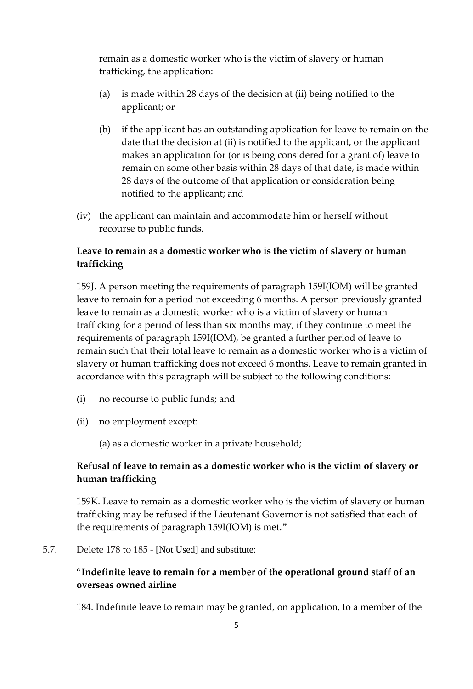remain as a domestic worker who is the victim of slavery or human trafficking, the application:

- (a) is made within 28 days of the decision at (ii) being notified to the applicant; or
- (b) if the applicant has an outstanding application for leave to remain on the date that the decision at (ii) is notified to the applicant, or the applicant makes an application for (or is being considered for a grant of) leave to remain on some other basis within 28 days of that date, is made within 28 days of the outcome of that application or consideration being notified to the applicant; and
- (iv) the applicant can maintain and accommodate him or herself without recourse to public funds.

# **Leave to remain as a domestic worker who is the victim of slavery or human trafficking**

159J. A person meeting the requirements of paragraph 159I(IOM) will be granted leave to remain for a period not exceeding 6 months. A person previously granted leave to remain as a domestic worker who is a victim of slavery or human trafficking for a period of less than six months may, if they continue to meet the requirements of paragraph 159I(IOM), be granted a further period of leave to remain such that their total leave to remain as a domestic worker who is a victim of slavery or human trafficking does not exceed 6 months. Leave to remain granted in accordance with this paragraph will be subject to the following conditions:

- (i) no recourse to public funds; and
- (ii) no employment except:

(a) as a domestic worker in a private household;

# **Refusal of leave to remain as a domestic worker who is the victim of slavery or human trafficking**

159K. Leave to remain as a domestic worker who is the victim of slavery or human trafficking may be refused if the Lieutenant Governor is not satisfied that each of the requirements of paragraph 159I(IOM) is met."

5.7. Delete 178 to 185 - [Not Used] and substitute:

# "**Indefinite leave to remain for a member of the operational ground staff of an overseas owned airline**

184. Indefinite leave to remain may be granted, on application, to a member of the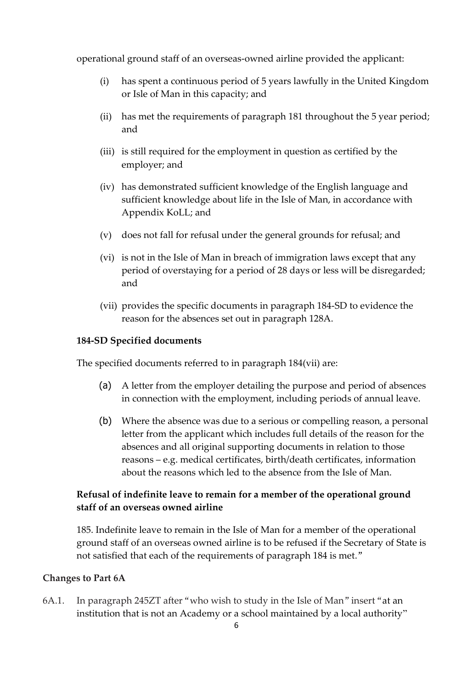operational ground staff of an overseas-owned airline provided the applicant:

- (i) has spent a continuous period of 5 years lawfully in the United Kingdom or Isle of Man in this capacity; and
- (ii) has met the requirements of paragraph 181 throughout the 5 year period; and
- (iii) is still required for the employment in question as certified by the employer; and
- (iv) has demonstrated sufficient knowledge of the English language and sufficient knowledge about life in the Isle of Man, in accordance with Appendix KoLL; and
- (v) does not fall for refusal under the general grounds for refusal; and
- (vi) is not in the Isle of Man in breach of immigration laws except that any period of overstaying for a period of 28 days or less will be disregarded; and
- (vii) provides the specific documents in paragraph 184-SD to evidence the reason for the absences set out in paragraph 128A.

#### **184-SD Specified documents**

The specified documents referred to in paragraph 184(vii) are:

- (a) A letter from the employer detailing the purpose and period of absences in connection with the employment, including periods of annual leave.
- (b) Where the absence was due to a serious or compelling reason, a personal letter from the applicant which includes full details of the reason for the absences and all original supporting documents in relation to those reasons – e.g. medical certificates, birth/death certificates, information about the reasons which led to the absence from the Isle of Man.

# **Refusal of indefinite leave to remain for a member of the operational ground staff of an overseas owned airline**

185. Indefinite leave to remain in the Isle of Man for a member of the operational ground staff of an overseas owned airline is to be refused if the Secretary of State is not satisfied that each of the requirements of paragraph 184 is met."

#### **Changes to Part 6A**

6A.1. In paragraph 245ZT after "who wish to study in the Isle of Man" insert "at an institution that is not an Academy or a school maintained by a local authority"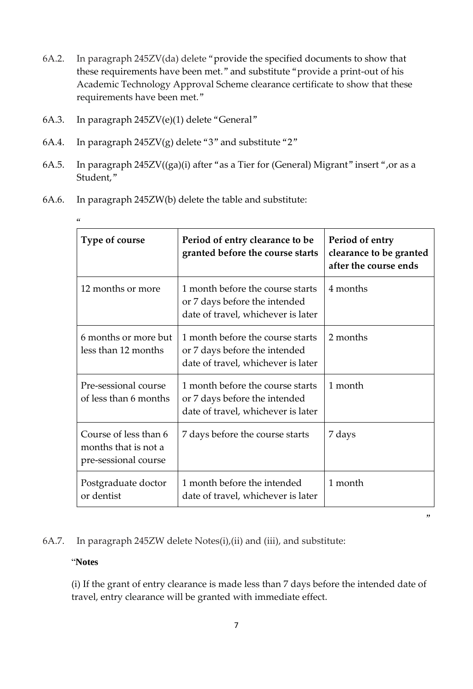- 6A.2. In paragraph 245ZV(da) delete "provide the specified documents to show that these requirements have been met." and substitute "provide a print-out of his Academic Technology Approval Scheme clearance certificate to show that these requirements have been met."
- 6A.3. In paragraph 245ZV(e)(1) delete "General"
- 6A.4. In paragraph 245ZV(g) delete "3" and substitute "2"
- 6A.5. In paragraph 245ZV((ga)(i) after "as a Tier for (General) Migrant" insert ",or as a Student,"
- 6A.6. In paragraph 245ZW(b) delete the table and substitute:

| <b>Type of course</b>                                                 | Period of entry clearance to be<br>granted before the course starts                                     | Period of entry<br>clearance to be granted<br>after the course ends |
|-----------------------------------------------------------------------|---------------------------------------------------------------------------------------------------------|---------------------------------------------------------------------|
| 12 months or more                                                     | 1 month before the course starts<br>or 7 days before the intended<br>date of travel, whichever is later | 4 months                                                            |
| 6 months or more but<br>less than 12 months                           | 1 month before the course starts<br>or 7 days before the intended<br>date of travel, whichever is later | 2 months                                                            |
| Pre-sessional course<br>of less than 6 months                         | 1 month before the course starts<br>or 7 days before the intended<br>date of travel, whichever is later | 1 month                                                             |
| Course of less than 6<br>months that is not a<br>pre-sessional course | 7 days before the course starts                                                                         | 7 days                                                              |
| Postgraduate doctor<br>or dentist                                     | 1 month before the intended<br>date of travel, whichever is later                                       | 1 month                                                             |

 $\alpha$ 

6A.7. In paragraph 245ZW delete Notes(i),(ii) and (iii), and substitute:

#### "**Notes**

(i) If the grant of entry clearance is made less than 7 days before the intended date of travel, entry clearance will be granted with immediate effect.

"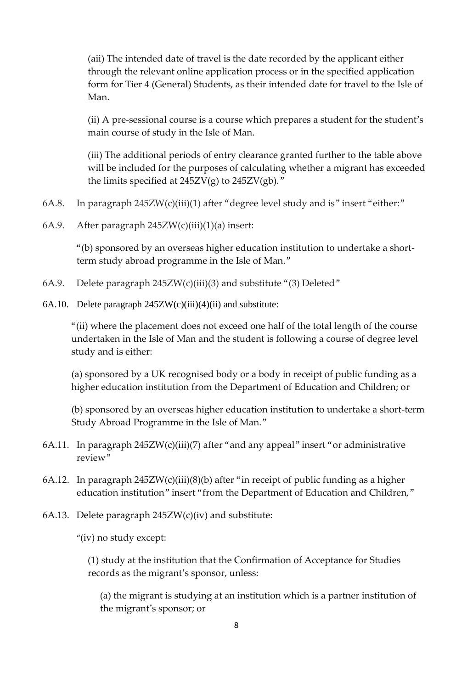(aii) The intended date of travel is the date recorded by the applicant either through the relevant online application process or in the specified application form for Tier 4 (General) Students, as their intended date for travel to the Isle of Man.

(ii) A pre-sessional course is a course which prepares a student for the student's main course of study in the Isle of Man.

(iii) The additional periods of entry clearance granted further to the table above will be included for the purposes of calculating whether a migrant has exceeded the limits specified at  $245ZV(g)$  to  $245ZV(gb)$ ."

- 6A.8. In paragraph 245ZW(c)(iii)(1) after "degree level study and is" insert "either:"
- 6A.9. After paragraph 245ZW(c)(iii)(1)(a) insert:

"(b) sponsored by an overseas higher education institution to undertake a shortterm study abroad programme in the Isle of Man."

- 6A.9. Delete paragraph  $245ZW(c)(iii)(3)$  and substitute "(3) Deleted"
- 6A.10. Delete paragraph 245ZW(c)(iii)(4)(ii) and substitute:

"(ii) where the placement does not exceed one half of the total length of the course undertaken in the Isle of Man and the student is following a course of degree level study and is either:

(a) sponsored by a UK recognised body or a body in receipt of public funding as a higher education institution from the Department of Education and Children; or

(b) sponsored by an overseas higher education institution to undertake a short-term Study Abroad Programme in the Isle of Man."

- 6A.11. In paragraph 245ZW(c)(iii)(7) after "and any appeal" insert "or administrative review"
- 6A.12. In paragraph  $245ZW(c)(iii)(8)(b)$  after "in receipt of public funding as a higher education institution" insert "from the Department of Education and Children,"
- 6A.13. Delete paragraph  $245ZW(c)(iv)$  and substitute:

"(iv) no study except:

(1) study at the institution that the Confirmation of Acceptance for Studies records as the migrant's sponsor, unless:

(a) the migrant is studying at an institution which is a partner institution of the migrant's sponsor; or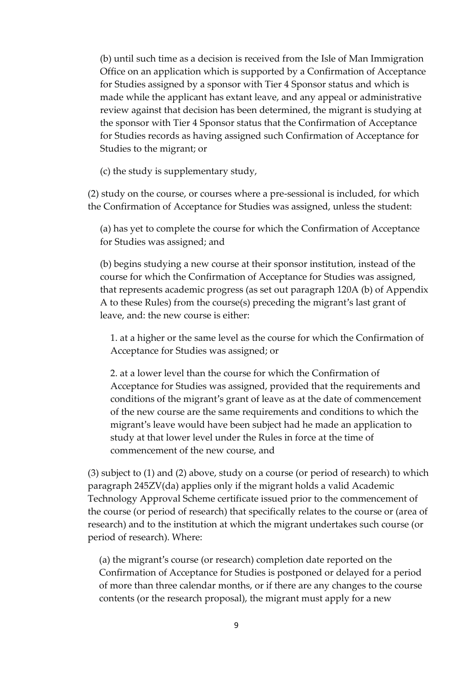(b) until such time as a decision is received from the Isle of Man Immigration Office on an application which is supported by a Confirmation of Acceptance for Studies assigned by a sponsor with Tier 4 Sponsor status and which is made while the applicant has extant leave, and any appeal or administrative review against that decision has been determined, the migrant is studying at the sponsor with Tier 4 Sponsor status that the Confirmation of Acceptance for Studies records as having assigned such Confirmation of Acceptance for Studies to the migrant; or

(c) the study is supplementary study,

(2) study on the course, or courses where a pre-sessional is included, for which the Confirmation of Acceptance for Studies was assigned, unless the student:

(a) has yet to complete the course for which the Confirmation of Acceptance for Studies was assigned; and

(b) begins studying a new course at their sponsor institution, instead of the course for which the Confirmation of Acceptance for Studies was assigned, that represents academic progress (as set out paragraph 120A (b) of Appendix A to these Rules) from the course(s) preceding the migrant's last grant of leave, and: the new course is either:

1. at a higher or the same level as the course for which the Confirmation of Acceptance for Studies was assigned; or

2. at a lower level than the course for which the Confirmation of Acceptance for Studies was assigned, provided that the requirements and conditions of the migrant's grant of leave as at the date of commencement of the new course are the same requirements and conditions to which the migrant's leave would have been subject had he made an application to study at that lower level under the Rules in force at the time of commencement of the new course, and

(3) subject to (1) and (2) above, study on a course (or period of research) to which paragraph 245ZV(da) applies only if the migrant holds a valid Academic Technology Approval Scheme certificate issued prior to the commencement of the course (or period of research) that specifically relates to the course or (area of research) and to the institution at which the migrant undertakes such course (or period of research). Where:

(a) the migrant's course (or research) completion date reported on the Confirmation of Acceptance for Studies is postponed or delayed for a period of more than three calendar months, or if there are any changes to the course contents (or the research proposal), the migrant must apply for a new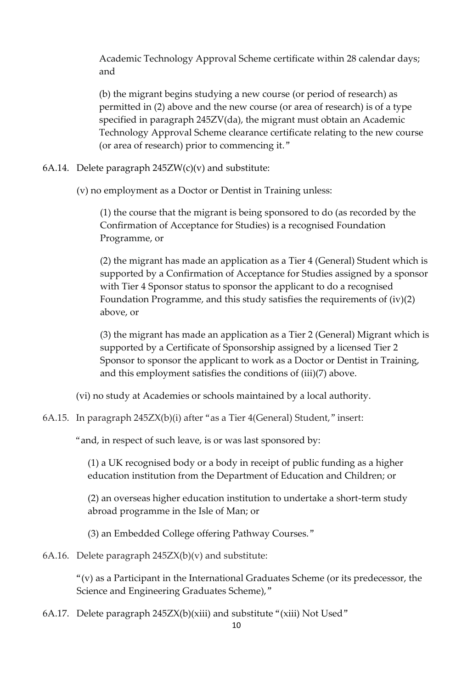Academic Technology Approval Scheme certificate within 28 calendar days; and

(b) the migrant begins studying a new course (or period of research) as permitted in (2) above and the new course (or area of research) is of a type specified in paragraph 245ZV(da), the migrant must obtain an Academic Technology Approval Scheme clearance certificate relating to the new course (or area of research) prior to commencing it."

6A.14. Delete paragraph  $245ZW(c)(v)$  and substitute:

(v) no employment as a Doctor or Dentist in Training unless:

(1) the course that the migrant is being sponsored to do (as recorded by the Confirmation of Acceptance for Studies) is a recognised Foundation Programme, or

(2) the migrant has made an application as a Tier 4 (General) Student which is supported by a Confirmation of Acceptance for Studies assigned by a sponsor with Tier 4 Sponsor status to sponsor the applicant to do a recognised Foundation Programme, and this study satisfies the requirements of (iv)(2) above, or

(3) the migrant has made an application as a Tier 2 (General) Migrant which is supported by a Certificate of Sponsorship assigned by a licensed Tier 2 Sponsor to sponsor the applicant to work as a Doctor or Dentist in Training, and this employment satisfies the conditions of (iii)(7) above.

- (vi) no study at Academies or schools maintained by a local authority.
- 6A.15. In paragraph 245ZX(b)(i) after "as a Tier 4(General) Student," insert:

"and, in respect of such leave, is or was last sponsored by:

(1) a UK recognised body or a body in receipt of public funding as a higher education institution from the Department of Education and Children; or

(2) an overseas higher education institution to undertake a short-term study abroad programme in the Isle of Man; or

(3) an Embedded College offering Pathway Courses."

6A.16. Delete paragraph  $245ZX(b)(v)$  and substitute:

 $''(v)$  as a Participant in the International Graduates Scheme (or its predecessor, the Science and Engineering Graduates Scheme),"

6A.17. Delete paragraph 245ZX(b)(xiii) and substitute "(xiii) Not Used"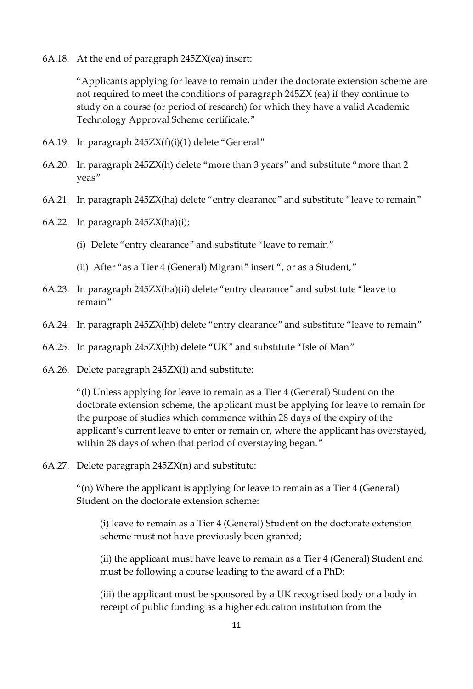6A.18. At the end of paragraph 245ZX(ea) insert:

"Applicants applying for leave to remain under the doctorate extension scheme are not required to meet the conditions of paragraph 245ZX (ea) if they continue to study on a course (or period of research) for which they have a valid Academic Technology Approval Scheme certificate."

- 6A.19. In paragraph 245ZX(f)(i)(1) delete "General"
- 6A.20. In paragraph 245ZX(h) delete "more than 3 years" and substitute "more than 2 yeas"
- 6A.21. In paragraph 245ZX(ha) delete "entry clearance" and substitute "leave to remain"
- 6A.22. In paragraph 245ZX(ha)(i);
	- (i) Delete "entry clearance" and substitute "leave to remain"
	- (ii) After "as a Tier 4 (General) Migrant" insert ", or as a Student,"
- 6A.23. In paragraph 245ZX(ha)(ii) delete "entry clearance" and substitute "leave to remain"
- 6A.24. In paragraph 245ZX(hb) delete "entry clearance" and substitute "leave to remain"
- 6A.25. In paragraph 245ZX(hb) delete "UK" and substitute "Isle of Man"
- 6A.26. Delete paragraph 245ZX(l) and substitute:

"(l) Unless applying for leave to remain as a Tier 4 (General) Student on the doctorate extension scheme, the applicant must be applying for leave to remain for the purpose of studies which commence within 28 days of the expiry of the applicant's current leave to enter or remain or, where the applicant has overstayed, within 28 days of when that period of overstaying began."

6A.27. Delete paragraph 245ZX(n) and substitute:

"(n) Where the applicant is applying for leave to remain as a Tier 4 (General) Student on the doctorate extension scheme:

(i) leave to remain as a Tier 4 (General) Student on the doctorate extension scheme must not have previously been granted;

(ii) the applicant must have leave to remain as a Tier 4 (General) Student and must be following a course leading to the award of a PhD;

(iii) the applicant must be sponsored by a UK recognised body or a body in receipt of public funding as a higher education institution from the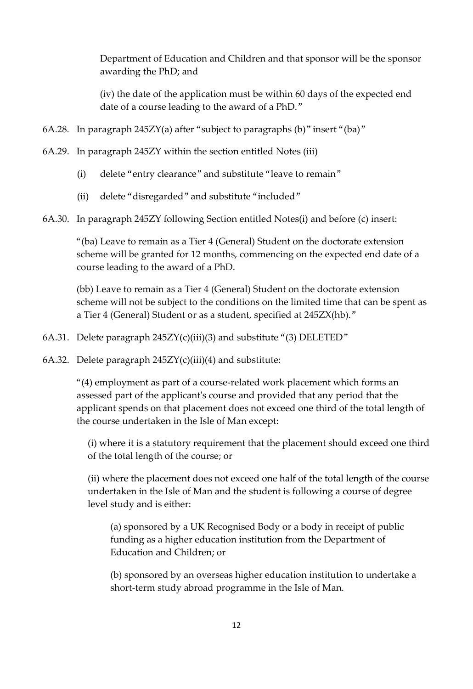Department of Education and Children and that sponsor will be the sponsor awarding the PhD; and

(iv) the date of the application must be within 60 days of the expected end date of a course leading to the award of a PhD."

- 6A.28. In paragraph 245ZY(a) after "subject to paragraphs (b)" insert "(ba)"
- 6A.29. In paragraph 245ZY within the section entitled Notes (iii)
	- (i) delete "entry clearance" and substitute "leave to remain"
	- (ii) delete "disregarded" and substitute "included"
- 6A.30. In paragraph 245ZY following Section entitled Notes(i) and before (c) insert:

"(ba) Leave to remain as a Tier 4 (General) Student on the doctorate extension scheme will be granted for 12 months, commencing on the expected end date of a course leading to the award of a PhD.

(bb) Leave to remain as a Tier 4 (General) Student on the doctorate extension scheme will not be subject to the conditions on the limited time that can be spent as a Tier 4 (General) Student or as a student, specified at 245ZX(hb)."

- 6A.31. Delete paragraph  $245ZY(c)(iii)(3)$  and substitute "(3) DELETED"
- 6A.32. Delete paragraph  $245ZY(c)(iii)(4)$  and substitute:

"(4) employment as part of a course-related work placement which forms an assessed part of the applicant's course and provided that any period that the applicant spends on that placement does not exceed one third of the total length of the course undertaken in the Isle of Man except:

(i) where it is a statutory requirement that the placement should exceed one third of the total length of the course; or

(ii) where the placement does not exceed one half of the total length of the course undertaken in the Isle of Man and the student is following a course of degree level study and is either:

(a) sponsored by a UK Recognised Body or a body in receipt of public funding as a higher education institution from the Department of Education and Children; or

(b) sponsored by an overseas higher education institution to undertake a short-term study abroad programme in the Isle of Man.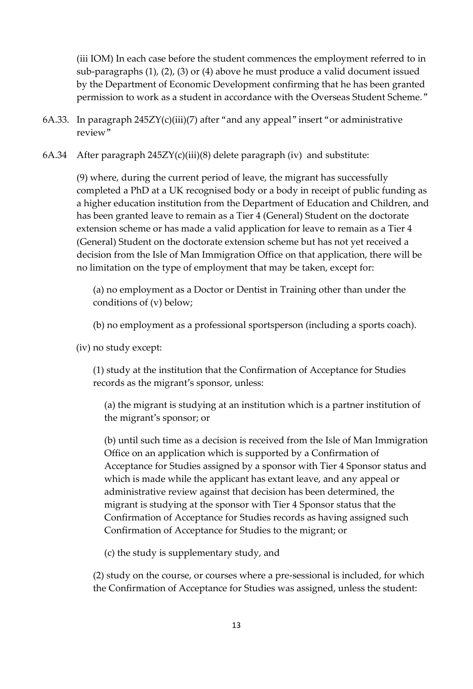(iii IOM) In each case before the student commences the employment referred to in sub-paragraphs (1), (2), (3) or (4) above he must produce a valid document issued by the Department of Economic Development confirming that he has been granted permission to work as a student in accordance with the Overseas Student Scheme."

- 6A.33. In paragraph  $245ZY(c)(iii)(7)$  after "and any appeal" insert "or administrative review"
- 6A.34 After paragraph  $245ZY(c)(iii)(8)$  delete paragraph (iv) and substitute:

(9) where, during the current period of leave, the migrant has successfully completed a PhD at a UK recognised body or a body in receipt of public funding as a higher education institution from the Department of Education and Children, and has been granted leave to remain as a Tier 4 (General) Student on the doctorate extension scheme or has made a valid application for leave to remain as a Tier 4 (General) Student on the doctorate extension scheme but has not yet received a decision from the Isle of Man Immigration Office on that application, there will be no limitation on the type of employment that may be taken, except for:

(a) no employment as a Doctor or Dentist in Training other than under the conditions of (v) below;

(b) no employment as a professional sportsperson (including a sports coach).

(iv) no study except:

(1) study at the institution that the Confirmation of Acceptance for Studies records as the migrant's sponsor, unless:

(a) the migrant is studying at an institution which is a partner institution of the migrant's sponsor; or

(b) until such time as a decision is received from the Isle of Man Immigration Office on an application which is supported by a Confirmation of Acceptance for Studies assigned by a sponsor with Tier 4 Sponsor status and which is made while the applicant has extant leave, and any appeal or administrative review against that decision has been determined, the migrant is studying at the sponsor with Tier 4 Sponsor status that the Confirmation of Acceptance for Studies records as having assigned such Confirmation of Acceptance for Studies to the migrant; or

(c) the study is supplementary study, and

(2) study on the course, or courses where a pre-sessional is included, for which the Confirmation of Acceptance for Studies was assigned, unless the student: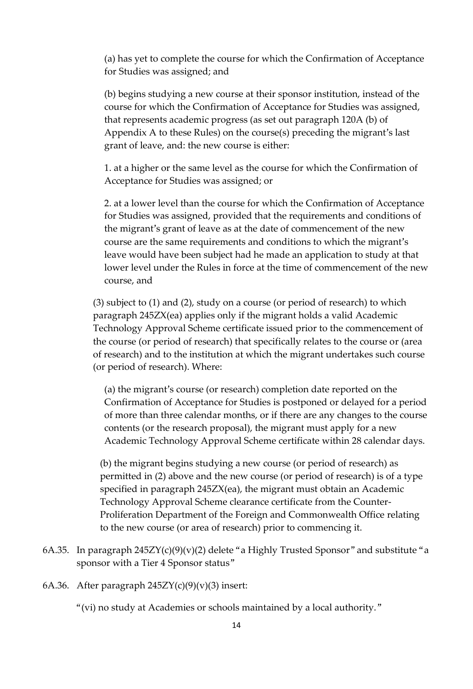(a) has yet to complete the course for which the Confirmation of Acceptance for Studies was assigned; and

(b) begins studying a new course at their sponsor institution, instead of the course for which the Confirmation of Acceptance for Studies was assigned, that represents academic progress (as set out paragraph 120A (b) of Appendix A to these Rules) on the course(s) preceding the migrant's last grant of leave, and: the new course is either:

1. at a higher or the same level as the course for which the Confirmation of Acceptance for Studies was assigned; or

2. at a lower level than the course for which the Confirmation of Acceptance for Studies was assigned, provided that the requirements and conditions of the migrant's grant of leave as at the date of commencement of the new course are the same requirements and conditions to which the migrant's leave would have been subject had he made an application to study at that lower level under the Rules in force at the time of commencement of the new course, and

(3) subject to (1) and (2), study on a course (or period of research) to which paragraph 245ZX(ea) applies only if the migrant holds a valid Academic Technology Approval Scheme certificate issued prior to the commencement of the course (or period of research) that specifically relates to the course or (area of research) and to the institution at which the migrant undertakes such course (or period of research). Where:

(a) the migrant's course (or research) completion date reported on the Confirmation of Acceptance for Studies is postponed or delayed for a period of more than three calendar months, or if there are any changes to the course contents (or the research proposal), the migrant must apply for a new Academic Technology Approval Scheme certificate within 28 calendar days.

(b) the migrant begins studying a new course (or period of research) as permitted in (2) above and the new course (or period of research) is of a type specified in paragraph 245ZX(ea), the migrant must obtain an Academic Technology Approval Scheme clearance certificate from the Counter-Proliferation Department of the Foreign and Commonwealth Office relating to the new course (or area of research) prior to commencing it.

6A.35. In paragraph  $245ZY(c)(9)(y)(2)$  delete "a Highly Trusted Sponsor" and substitute "a sponsor with a Tier 4 Sponsor status"

6A.36. After paragraph  $245ZY(c)(9)(v)(3)$  insert:

"(vi) no study at Academies or schools maintained by a local authority."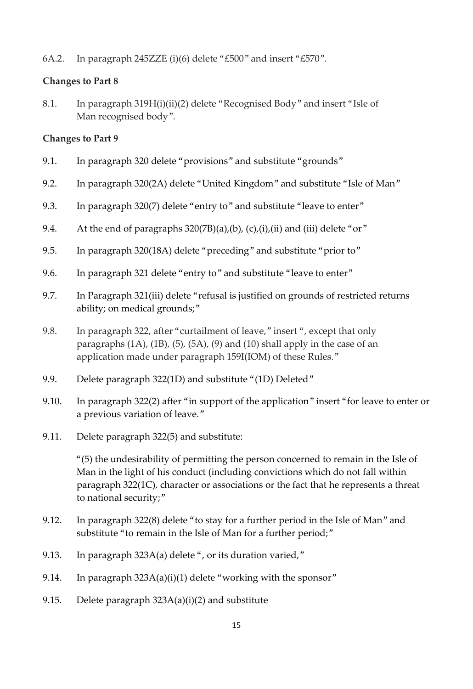6A.2. In paragraph 245ZZE (i)(6) delete "£500" and insert "£570".

### **Changes to Part 8**

8.1. In paragraph 319H(i)(ii)(2) delete "Recognised Body" and insert "Isle of Man recognised body".

### **Changes to Part 9**

- 9.1. In paragraph 320 delete "provisions" and substitute "grounds"
- 9.2. In paragraph 320(2A) delete "United Kingdom" and substitute "Isle of Man"
- 9.3. In paragraph 320(7) delete "entry to" and substitute "leave to enter"
- 9.4. At the end of paragraphs 320(7B)(a),(b), (c),(i),(ii) and (iii) delete "or"
- 9.5. In paragraph 320(18A) delete "preceding" and substitute "prior to"
- 9.6. In paragraph 321 delete "entry to" and substitute "leave to enter"
- 9.7. In Paragraph 321(iii) delete "refusal is justified on grounds of restricted returns ability; on medical grounds;"
- 9.8. In paragraph 322, after "curtailment of leave," insert ", except that only paragraphs  $(1A)$ ,  $(1B)$ ,  $(5)$ ,  $(5A)$ ,  $(9)$  and  $(10)$  shall apply in the case of an application made under paragraph 159I(IOM) of these Rules."
- 9.9. Delete paragraph 322(1D) and substitute "(1D) Deleted"
- 9.10. In paragraph 322(2) after "in support of the application" insert "for leave to enter or a previous variation of leave."
- 9.11. Delete paragraph 322(5) and substitute:

"(5) the undesirability of permitting the person concerned to remain in the Isle of Man in the light of his conduct (including convictions which do not fall within paragraph 322(1C), character or associations or the fact that he represents a threat to national security;"

- 9.12. In paragraph 322(8) delete "to stay for a further period in the Isle of Man" and substitute "to remain in the Isle of Man for a further period;"
- 9.13. In paragraph 323A(a) delete ", or its duration varied,"
- 9.14. In paragraph 323A(a)(i)(1) delete "working with the sponsor"
- 9.15. Delete paragraph 323A(a)(i)(2) and substitute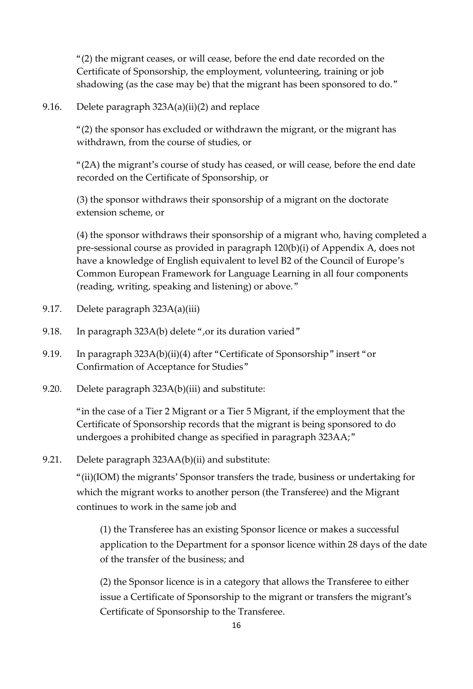"(2) the migrant ceases, or will cease, before the end date recorded on the Certificate of Sponsorship, the employment, volunteering, training or job shadowing (as the case may be) that the migrant has been sponsored to do."

9.16. Delete paragraph 323A(a)(ii)(2) and replace

"(2) the sponsor has excluded or withdrawn the migrant, or the migrant has withdrawn, from the course of studies, or

"(2A) the migrant's course of study has ceased, or will cease, before the end date recorded on the Certificate of Sponsorship, or

(3) the sponsor withdraws their sponsorship of a migrant on the doctorate extension scheme, or

(4) the sponsor withdraws their sponsorship of a migrant who, having completed a pre-sessional course as provided in paragraph 120(b)(i) of Appendix A, does not have a knowledge of English equivalent to level B2 of the Council of Europe's Common European Framework for Language Learning in all four components (reading, writing, speaking and listening) or above."

- 9.17. Delete paragraph 323A(a)(iii)
- 9.18. In paragraph 323A(b) delete ",or its duration varied"
- 9.19. In paragraph 323A(b)(ii)(4) after "Certificate of Sponsorship" insert "or Confirmation of Acceptance for Studies"
- 9.20. Delete paragraph 323A(b)(iii) and substitute:

"in the case of a Tier 2 Migrant or a Tier 5 Migrant, if the employment that the Certificate of Sponsorship records that the migrant is being sponsored to do undergoes a prohibited change as specified in paragraph 323AA;"

9.21. Delete paragraph 323AA(b)(ii) and substitute:

"(ii)(IOM) the migrants' Sponsor transfers the trade, business or undertaking for which the migrant works to another person (the Transferee) and the Migrant continues to work in the same job and

(1) the Transferee has an existing Sponsor licence or makes a successful application to the Department for a sponsor licence within 28 days of the date of the transfer of the business; and

(2) the Sponsor licence is in a category that allows the Transferee to either issue a Certificate of Sponsorship to the migrant or transfers the migrant's Certificate of Sponsorship to the Transferee.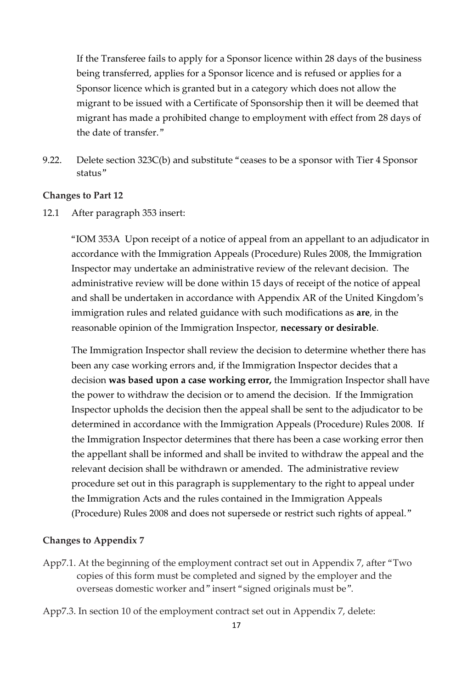If the Transferee fails to apply for a Sponsor licence within 28 days of the business being transferred, applies for a Sponsor licence and is refused or applies for a Sponsor licence which is granted but in a category which does not allow the migrant to be issued with a Certificate of Sponsorship then it will be deemed that migrant has made a prohibited change to employment with effect from 28 days of the date of transfer."

9.22. Delete section 323C(b) and substitute "ceases to be a sponsor with Tier 4 Sponsor status"

#### **Changes to Part 12**

12.1 After paragraph 353 insert:

"IOM 353A Upon receipt of a notice of appeal from an appellant to an adjudicator in accordance with the Immigration Appeals (Procedure) Rules 2008, the Immigration Inspector may undertake an administrative review of the relevant decision. The administrative review will be done within 15 days of receipt of the notice of appeal and shall be undertaken in accordance with Appendix AR of the United Kingdom's immigration rules and related guidance with such modifications as **are**, in the reasonable opinion of the Immigration Inspector, **necessary or desirable**.

The Immigration Inspector shall review the decision to determine whether there has been any case working errors and, if the Immigration Inspector decides that a decision **was based upon a case working error,** the Immigration Inspector shall have the power to withdraw the decision or to amend the decision. If the Immigration Inspector upholds the decision then the appeal shall be sent to the adjudicator to be determined in accordance with the Immigration Appeals (Procedure) Rules 2008. If the Immigration Inspector determines that there has been a case working error then the appellant shall be informed and shall be invited to withdraw the appeal and the relevant decision shall be withdrawn or amended. The administrative review procedure set out in this paragraph is supplementary to the right to appeal under the Immigration Acts and the rules contained in the Immigration Appeals (Procedure) Rules 2008 and does not supersede or restrict such rights of appeal."

#### **Changes to Appendix 7**

App7.1. At the beginning of the employment contract set out in Appendix 7, after "Two copies of this form must be completed and signed by the employer and the overseas domestic worker and" insert "signed originals must be".

App7.3. In section 10 of the employment contract set out in Appendix 7, delete: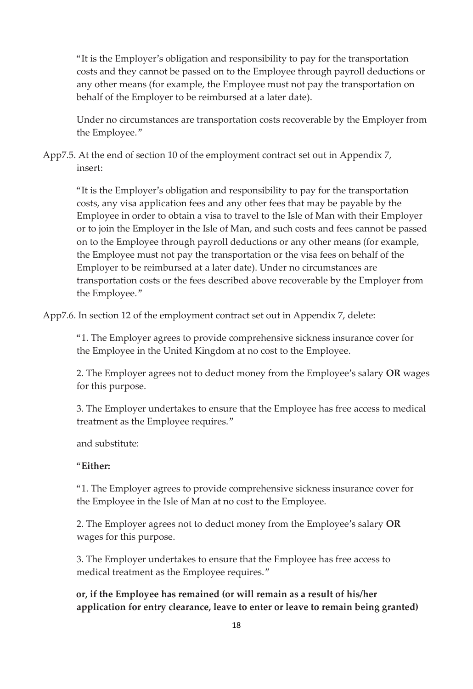"It is the Employer's obligation and responsibility to pay for the transportation costs and they cannot be passed on to the Employee through payroll deductions or any other means (for example, the Employee must not pay the transportation on behalf of the Employer to be reimbursed at a later date).

Under no circumstances are transportation costs recoverable by the Employer from the Employee."

App7.5. At the end of section 10 of the employment contract set out in Appendix 7, insert:

"It is the Employer's obligation and responsibility to pay for the transportation costs, any visa application fees and any other fees that may be payable by the Employee in order to obtain a visa to travel to the Isle of Man with their Employer or to join the Employer in the Isle of Man, and such costs and fees cannot be passed on to the Employee through payroll deductions or any other means (for example, the Employee must not pay the transportation or the visa fees on behalf of the Employer to be reimbursed at a later date). Under no circumstances are transportation costs or the fees described above recoverable by the Employer from the Employee."

App7.6. In section 12 of the employment contract set out in Appendix 7, delete:

"1. The Employer agrees to provide comprehensive sickness insurance cover for the Employee in the United Kingdom at no cost to the Employee.

2. The Employer agrees not to deduct money from the Employee's salary **OR** wages for this purpose.

3. The Employer undertakes to ensure that the Employee has free access to medical treatment as the Employee requires."

and substitute:

### "**Either:**

"1. The Employer agrees to provide comprehensive sickness insurance cover for the Employee in the Isle of Man at no cost to the Employee.

2. The Employer agrees not to deduct money from the Employee's salary **OR**  wages for this purpose.

3. The Employer undertakes to ensure that the Employee has free access to medical treatment as the Employee requires."

**or, if the Employee has remained (or will remain as a result of his/her application for entry clearance, leave to enter or leave to remain being granted)**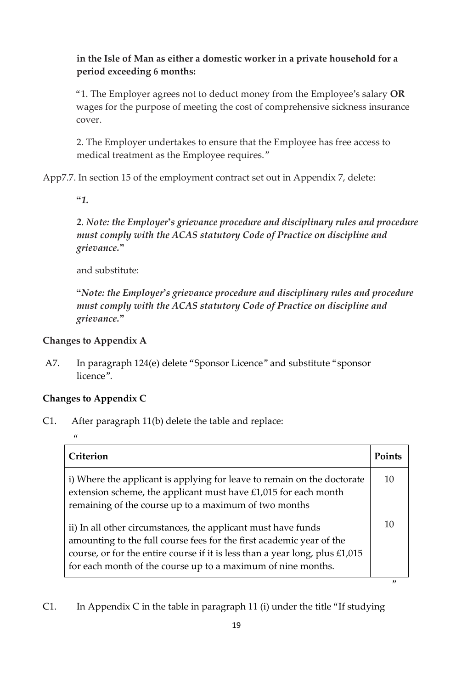# **in the Isle of Man as either a domestic worker in a private household for a period exceeding 6 months:**

"1. The Employer agrees not to deduct money from the Employee's salary **OR**  wages for the purpose of meeting the cost of comprehensive sickness insurance cover.

2. The Employer undertakes to ensure that the Employee has free access to medical treatment as the Employee requires."

App7.7. In section 15 of the employment contract set out in Appendix 7, delete:

*"1.* 

*2. Note: the Employer's grievance procedure and disciplinary rules and procedure must comply with the ACAS statutory Code of Practice on discipline and grievance."* 

and substitute:

*"Note: the Employer's grievance procedure and disciplinary rules and procedure must comply with the ACAS statutory Code of Practice on discipline and grievance."* 

### **Changes to Appendix A**

A7. In paragraph 124(e) delete "Sponsor Licence" and substitute "sponsor licence".

# **Changes to Appendix C**

C1. After paragraph 11(b) delete the table and replace:

| Criterion                                                                                                                                                                                                                                                                               | <b>Points</b> |
|-----------------------------------------------------------------------------------------------------------------------------------------------------------------------------------------------------------------------------------------------------------------------------------------|---------------|
| i) Where the applicant is applying for leave to remain on the doctorate<br>extension scheme, the applicant must have $£1,015$ for each month<br>remaining of the course up to a maximum of two months                                                                                   | 10            |
| ii) In all other circumstances, the applicant must have funds<br>amounting to the full course fees for the first academic year of the<br>course, or for the entire course if it is less than a year long, plus $£1,015$<br>for each month of the course up to a maximum of nine months. | 10            |

C1. In Appendix C in the table in paragraph 11 (i) under the title "If studying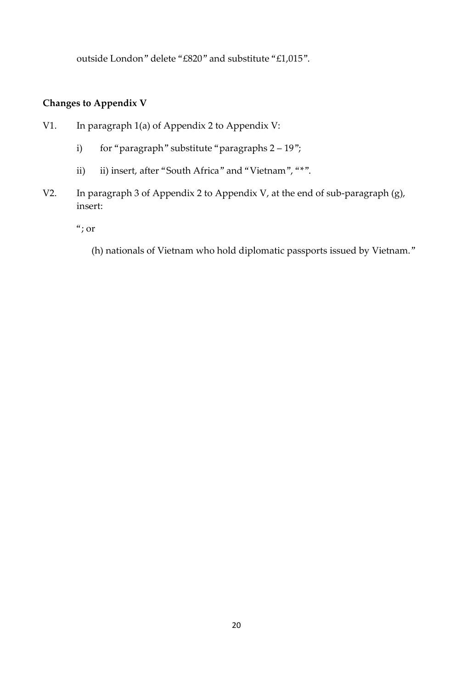outside London" delete "£820" and substitute "£1,015".

# **Changes to Appendix V**

- V1. In paragraph 1(a) of Appendix 2 to Appendix V:
	- i) for "paragraph" substitute "paragraphs  $2 19$ ";
	- ii) iii) insert, after "South Africa" and "Vietnam", "\*".
- V2. In paragraph 3 of Appendix 2 to Appendix V, at the end of sub-paragraph (g), insert:

"; or

(h) nationals of Vietnam who hold diplomatic passports issued by Vietnam."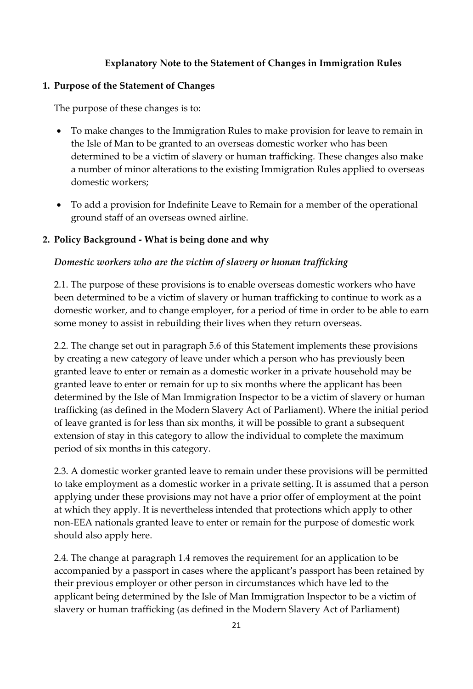### **Explanatory Note to the Statement of Changes in Immigration Rules**

#### **1. Purpose of the Statement of Changes**

The purpose of these changes is to:

- To make changes to the Immigration Rules to make provision for leave to remain in the Isle of Man to be granted to an overseas domestic worker who has been determined to be a victim of slavery or human trafficking. These changes also make a number of minor alterations to the existing Immigration Rules applied to overseas domestic workers;
- To add a provision for Indefinite Leave to Remain for a member of the operational ground staff of an overseas owned airline.

#### **2. Policy Background - What is being done and why**

#### *Domestic workers who are the victim of slavery or human trafficking*

2.1. The purpose of these provisions is to enable overseas domestic workers who have been determined to be a victim of slavery or human trafficking to continue to work as a domestic worker, and to change employer, for a period of time in order to be able to earn some money to assist in rebuilding their lives when they return overseas.

2.2. The change set out in paragraph 5.6 of this Statement implements these provisions by creating a new category of leave under which a person who has previously been granted leave to enter or remain as a domestic worker in a private household may be granted leave to enter or remain for up to six months where the applicant has been determined by the Isle of Man Immigration Inspector to be a victim of slavery or human trafficking (as defined in the Modern Slavery Act of Parliament). Where the initial period of leave granted is for less than six months, it will be possible to grant a subsequent extension of stay in this category to allow the individual to complete the maximum period of six months in this category.

2.3. A domestic worker granted leave to remain under these provisions will be permitted to take employment as a domestic worker in a private setting. It is assumed that a person applying under these provisions may not have a prior offer of employment at the point at which they apply. It is nevertheless intended that protections which apply to other non-EEA nationals granted leave to enter or remain for the purpose of domestic work should also apply here.

2.4. The change at paragraph 1.4 removes the requirement for an application to be accompanied by a passport in cases where the applicant's passport has been retained by their previous employer or other person in circumstances which have led to the applicant being determined by the Isle of Man Immigration Inspector to be a victim of slavery or human trafficking (as defined in the Modern Slavery Act of Parliament)